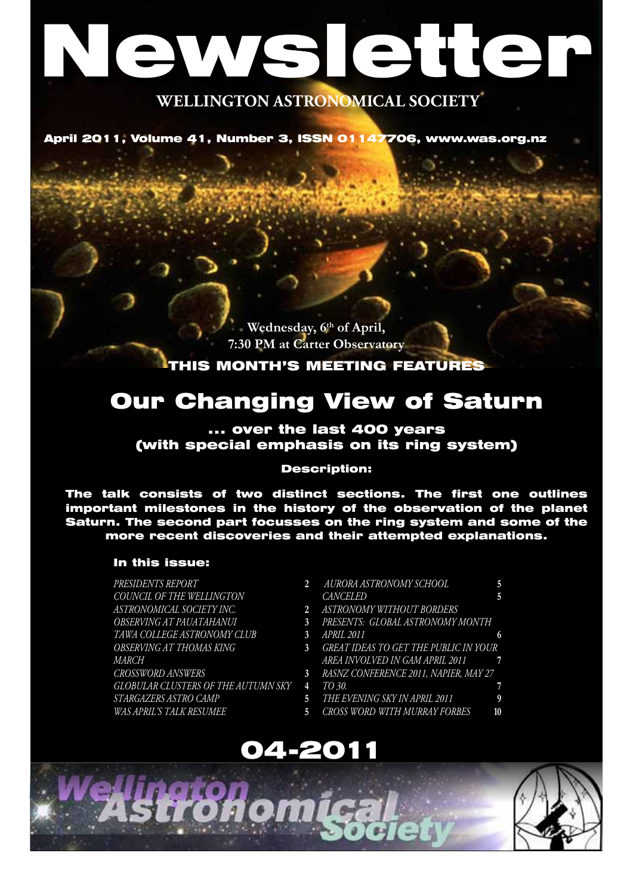# WAS ISTET

## **WELLINGTON ASTRONOMICAL SOCIETY**

April 2011, Volume 41, Number 3, ISSN 01147706, www.was.org.nz

**Wednesday, 6th of April, 7:30 PM at Carter Observatory**

## THIS MONTH'S MEETING FEATURES

## Our Changing View of Saturn

## ... over the last 400 years (with special emphasis on its ring system)

#### Description:

The talk consists of two distinct sections. The first one outlines important milestones in the history of the observation of the planet Saturn. The second part focusses on the ring system and some of the more recent discoveries and their attempted explanations.

#### In this issue:

*Presidents Report* **2** *COUNCIL OF THE WELLINGTON ASTRONOMICAL SOCIETY INC.* **2** *OBSERVING AT PAUATAHANUI* **3** *Tawa College Astronomy Club* **3** *OBSERVING AT THOMAS KING* **3** *March Crossword answers* **3** *Globular clusters of the Autumn sky* **4** *Stargazers Astro Camp* **5** *WAS April's talk resumee* **5**

- *Aurora Astronomy School* **5** *CANCELED* **5**
- *Astronomy Without Borders*
- *presents: Global Astronomy Month*
- *April 2011* **6**
- *Great ideas to get the public in your area involved in GAM April 2011* **7**
- *RASNZ Conference 2011, Napier, May 27* 
	- *to 30.* **7**
	- *The Evening Sky in April 2011* **9**
- *Cross Word with Murray Forbes* **10**



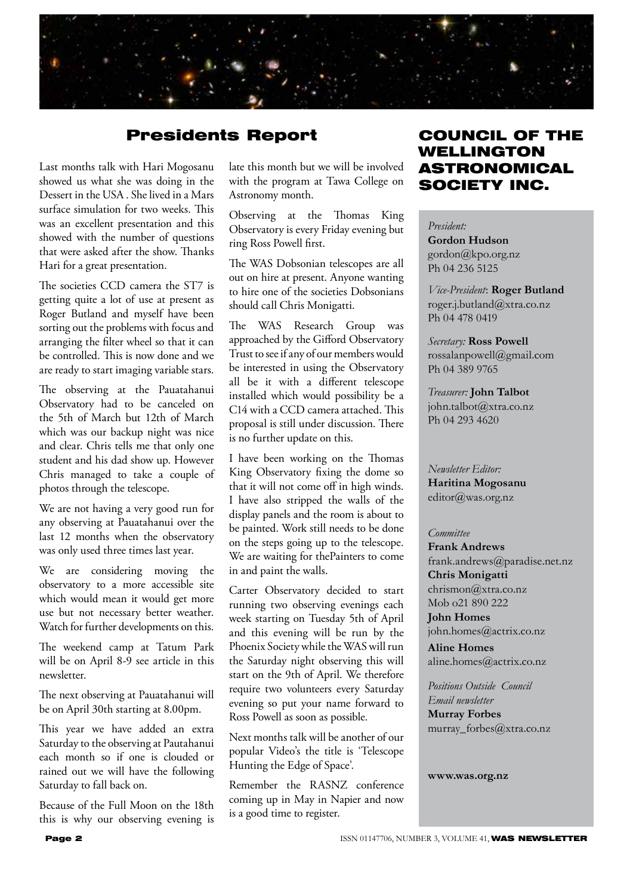

## Presidents Report

Last months talk with Hari Mogosanu showed us what she was doing in the Dessert in the USA . She lived in a Mars surface simulation for two weeks. This was an excellent presentation and this showed with the number of questions that were asked after the show. Thanks Hari for a great presentation.

The societies CCD camera the ST7 is getting quite a lot of use at present as Roger Butland and myself have been sorting out the problems with focus and arranging the filter wheel so that it can be controlled. This is now done and we are ready to start imaging variable stars.

The observing at the Pauatahanui Observatory had to be canceled on the 5th of March but 12th of March which was our backup night was nice and clear. Chris tells me that only one student and his dad show up. However Chris managed to take a couple of photos through the telescope.

We are not having a very good run for any observing at Pauatahanui over the last 12 months when the observatory was only used three times last year.

We are considering moving the observatory to a more accessible site which would mean it would get more use but not necessary better weather. Watch for further developments on this.

The weekend camp at Tatum Park will be on April 8-9 see article in this newsletter.

The next observing at Pauatahanui will be on April 30th starting at 8.00pm.

This year we have added an extra Saturday to the observing at Pautahanui each month so if one is clouded or rained out we will have the following Saturday to fall back on.

Because of the Full Moon on the 18th this is why our observing evening is late this month but we will be involved with the program at Tawa College on Astronomy month.

Observing at the Thomas King Observatory is every Friday evening but ring Ross Powell first.

The WAS Dobsonian telescopes are all out on hire at present. Anyone wanting to hire one of the societies Dobsonians should call Chris Monigatti.

The WAS Research Group was approached by the Gifford Observatory Trust to see if any of our members would be interested in using the Observatory all be it with a different telescope installed which would possibility be a C14 with a CCD camera attached. This proposal is still under discussion. There is no further update on this.

I have been working on the Thomas King Observatory fixing the dome so that it will not come off in high winds. I have also stripped the walls of the display panels and the room is about to be painted. Work still needs to be done on the steps going up to the telescope. We are waiting for thePainters to come in and paint the walls.

Carter Observatory decided to start running two observing evenings each week starting on Tuesday 5th of April and this evening will be run by the Phoenix Society while the WAS will run the Saturday night observing this will start on the 9th of April. We therefore require two volunteers every Saturday evening so put your name forward to Ross Powell as soon as possible.

Next months talk will be another of our popular Video's the title is 'Telescope Hunting the Edge of Space'.

Remember the RASNZ conference coming up in May in Napier and now is a good time to register.

## COUNCIL OF THE WELLINGTON ASTRONOMICAL SOCIETY INC.

*President:* 

**Gordon Hudson** gordon@kpo.org.nz Ph 04 236 5125

*Vice-President*: **Roger Butland** roger.j.butland@xtra.co.nz Ph 04 478 0419

*Secretary:* **Ross Powell** rossalanpowell@gmail.com Ph 04 389 9765

*Treasurer:* **John Talbot** john.talbot@xtra.co.nz Ph 04 293 4620

*Newsletter Editor:*  **Haritina Mogosanu** editor@was.org.nz

#### *Committee*

**Frank Andrews** frank.andrews@paradise.net.nz **Chris Monigatti** chrismon@xtra.co.nz Mob o21 890 222

**John Homes** john.homes@actrix.co.nz

**Aline Homes** aline.homes@actrix.co.nz

*Positions Outside Council Email newsletter* **Murray Forbes** murray\_forbes@xtra.co.nz

**www.was.org.nz**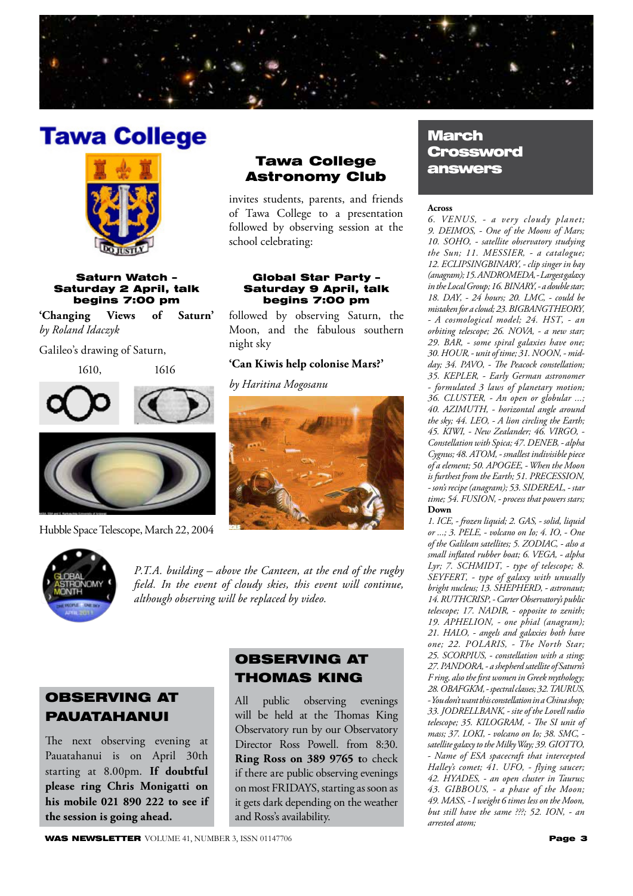

# **Tawa College**



#### Saturn Watch – Saturday 2 April, talk begins 7:00 pm

**'Changing Views of Saturn'**  *by Roland Idaczyk*

Galileo's drawing of Saturn,

1610, 1616





Hubble Space Telescope, March 22, 2004

## Tawa College Astronomy Club

invites students, parents, and friends of Tawa College to a presentation followed by observing session at the school celebrating:

#### Global Star Party – Saturday 9 April, talk begins 7:00 pm

followed by observing Saturn, the Moon, and the fabulous southern night sky

#### **'Can Kiwis help colonise Mars?'**

*by Haritina Mogosanu*



*P.T.A. building – above the Canteen, at the end of the rugby field. In the event of cloudy skies, this event will continue, although observing will be replaced by video.*

## OBSERVING AT PAUATAHANUI

The next observing evening at Pauatahanui is on April 30th starting at 8.00pm. **If doubtful please ring Chris Monigatti on his mobile 021 890 222 to see if the session is going ahead.**

## OBSERVING AT THOMAS KING

All public observing evenings will be held at the Thomas King Observatory run by our Observatory Director Ross Powell. from 8:30. **Ring Ross on 389 9765 t**o check if there are public observing evenings on most FRIDAYS, starting as soon as it gets dark depending on the weather and Ross's availability.

#### **Across**

*6. VENUS' - a very cloudy planet; 9. DEIMOS' - One of the Moons of Mars; 10. SOHO' - satellite observatory studying the Sun; 11. MESSIER' - a catalogue; 12. ECLIPSINGBINARY' - clip singer in bay (anagram); 15. ANDROMEDA' - Largest galaxy in the Local Group; 16. BINARY' - a double star; 18. DAY' - 24 hours; 20. LMC' - could be mistaken for a cloud; 23. BIGBANGTHEORY' - A cosmological model; 24. HST' - an orbiting telescope; 26. NOVA' - a new star; 29. BAR' - some spiral galaxies have one; 30. HOUR' - unit of time; 31. NOON' - mid*day; 34. PAVO, - The Peacock constellation; *35. KEPLER' - Early German astronomer - formulated 3 laws of planetary motion; 36. CLUSTER' - An open or globular ...; 40. AZIMUTH' - horizontal angle around*  the sky; 44. LEO, - A lion circling the Earth; *45. KIWI' - New Zealander; 46. VIRGO' -*  Constellation with Spica; 47. DENEB, - alpha *Cygnus; 48. ATOM' - smallest indivisible piece of a element; 50. APOGEE' - When the Moon*  is furthest from the Earth; 51. PRECESSION, *- son's recipe (anagram); 53. SIDEREAL' - star*  time; 54. FUSION, - process that powers stars; **Down**

*1. ICE' - frozen liquid; 2. GAS' - solid, liquid or ...; 3. PELE' - volcano on Io; 4. IO' - One of the Galilean satellites; 5. ZODIAC' - also a small inflated rubber boat; 6. VEGA' - alpha*  Lyr; 7. SCHMIDT, - type of telescope; 8. *SEYFERT' - type of galaxy with unusally bright nucleus; 13. SHEPHERD' - astronaut; 14. RUTHCRISP' - Carter Observatory's public telescope; 17. NADIR' - opposite to zenith; 19. APHELION' - one phial (anagram); 21. HALO' - angels and galaxies both have*  one; 22. POLARIS, - The North Star; 25. SCORPIUS, - constellation with a sting; *27. PANDORA' - a shepherd satellite of Saturn's F ring, also the first women in Greek mythology;*  28. OBAFGKM, - spectral classes; 32. TAURUS, *- You don't want this constellation in a China shop; 33. JODRELLBANK' - site of the Lovell radio telescope; 35. KILOGRAM' - The SI unit of*  mass; 37. LOKI, - volcano on Io; 38. SMC, satellite galaxy to the Milky Way; 39. GIOTTO, *- Name of ESA spacecraft that intercepted Halley's comet; 41. UFO, - flying saucer; 42. HYADES' - an open cluster in Taurus; 43. GIBBOUS' - a phase of the Moon; 49. MASS' - I weight 6 times less on the Moon, but still have the same ???; 52. ION' - an arrested atom;*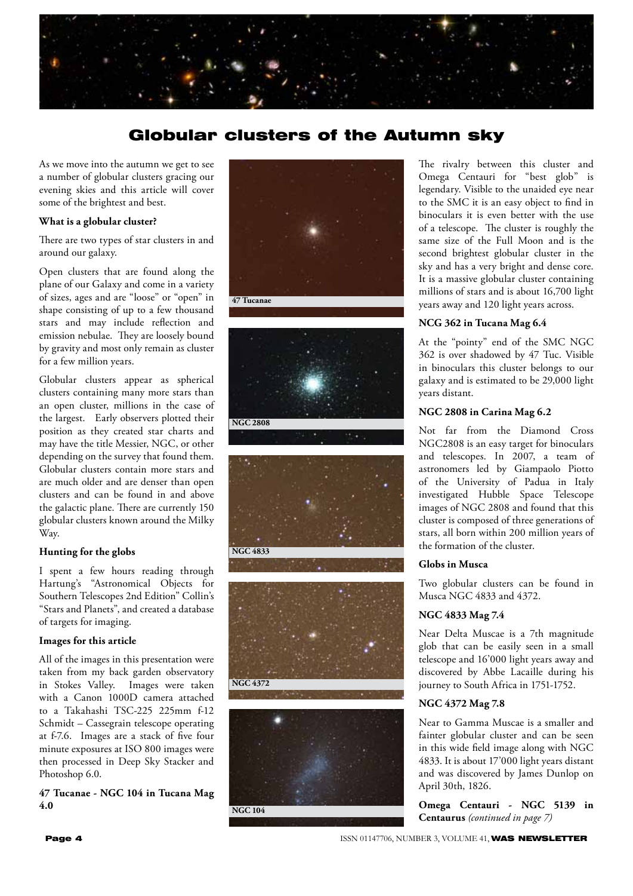

## Globular clusters of the Autumn sky

As we move into the autumn we get to see a number of globular clusters gracing our evening skies and this article will cover some of the brightest and best.

#### **What is a globular cluster?**

There are two types of star clusters in and around our galaxy.

Open clusters that are found along the plane of our Galaxy and come in a variety of sizes, ages and are "loose" or "open" in shape consisting of up to a few thousand stars and may include reflection and emission nebulae. They are loosely bound by gravity and most only remain as cluster for a few million years.

Globular clusters appear as spherical clusters containing many more stars than an open cluster, millions in the case of the largest. Early observers plotted their position as they created star charts and may have the title Messier, NGC, or other depending on the survey that found them. Globular clusters contain more stars and are much older and are denser than open clusters and can be found in and above the galactic plane. There are currently 150 globular clusters known around the Milky Way.

#### **Hunting for the globs**

I spent a few hours reading through Hartung's "Astronomical Objects for Southern Telescopes 2nd Edition" Collin's "Stars and Planets", and created a database of targets for imaging.

#### **Images for this article**

All of the images in this presentation were taken from my back garden observatory in Stokes Valley. Images were taken with a Canon 1000D camera attached to a Takahashi TSC-225 225mm f-12 Schmidt – Cassegrain telescope operating at f-7.6. Images are a stack of five four minute exposures at ISO 800 images were then processed in Deep Sky Stacker and Photoshop 6.0.

**47 Tucanae - NGC 104 in Tucana Mag 4.0**











The rivalry between this cluster and Omega Centauri for "best glob" is legendary. Visible to the unaided eye near to the SMC it is an easy object to find in binoculars it is even better with the use of a telescope. The cluster is roughly the same size of the Full Moon and is the second brightest globular cluster in the sky and has a very bright and dense core. It is a massive globular cluster containing millions of stars and is about 16,700 light years away and 120 light years across.

#### **NCG 362 in Tucana Mag 6.4**

At the "pointy" end of the SMC NGC 362 is over shadowed by 47 Tuc. Visible in binoculars this cluster belongs to our galaxy and is estimated to be 29,000 light years distant.

#### **NGC 2808 in Carina Mag 6.2**

Not far from the Diamond Cross NGC2808 is an easy target for binoculars and telescopes. In 2007, a team of astronomers led by Giampaolo Piotto of the University of Padua in Italy investigated Hubble Space Telescope images of NGC 2808 and found that this cluster is composed of three generations of stars, all born within 200 million years of the formation of the cluster.

#### **Globs in Musca**

Two globular clusters can be found in Musca NGC 4833 and 4372.

#### **NGC 4833 Mag 7.4**

Near Delta Muscae is a 7th magnitude glob that can be easily seen in a small telescope and 16'000 light years away and discovered by Abbe Lacaille during his journey to South Africa in 1751-1752.

#### **NGC 4372 Mag 7.8**

Near to Gamma Muscae is a smaller and fainter globular cluster and can be seen in this wide field image along with NGC 4833. It is about 17'000 light years distant and was discovered by James Dunlop on April 30th, 1826.

**Omega Centauri - NGC 5139 in Centaurus** *(continued in page 7)*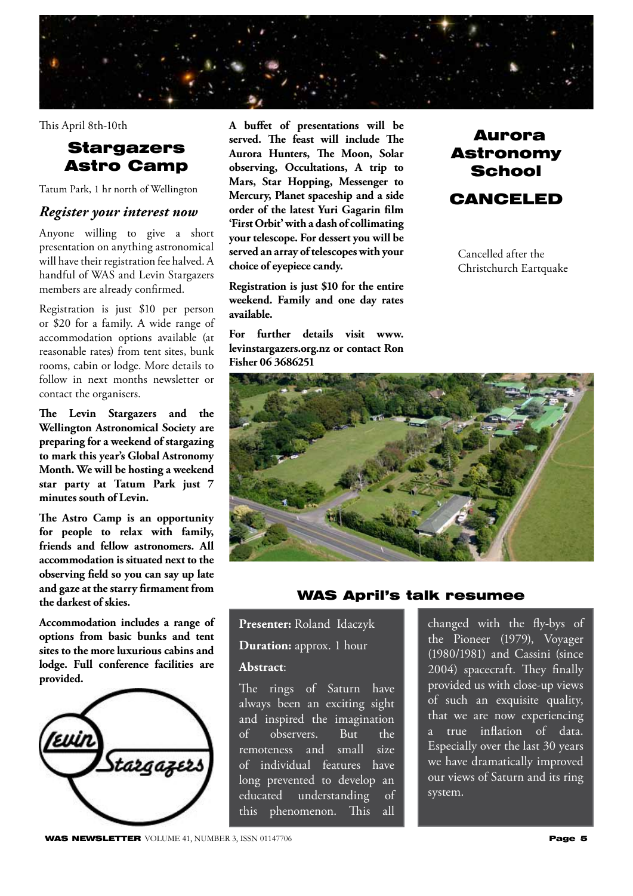

This April 8th-10th

## **Stargazers** Astro Camp

Tatum Park, 1 hr north of Wellington

## *Register your interest now*

Anyone willing to give a short presentation on anything astronomical will have their registration fee halved. A handful of WAS and Levin Stargazers members are already confirmed.

Registration is just \$10 per person or \$20 for a family. A wide range of accommodation options available (at reasonable rates) from tent sites, bunk rooms, cabin or lodge. More details to follow in next months newsletter or contact the organisers.

**The Levin Stargazers and the Wellington Astronomical Society are preparing for a weekend of stargazing to mark this year's Global Astronomy Month. We will be hosting a weekend star party at Tatum Park just 7 minutes south of Levin.**

**The Astro Camp is an opportunity for people to relax with family, friends and fellow astronomers. All accommodation is situated next to the observing field so you can say up late and gaze at the starry firmament from the darkest of skies.**

**Accommodation includes a range of options from basic bunks and tent sites to the more luxurious cabins and lodge. Full conference facilities are provided.**



**A buffet of presentations will be served. The feast will include The Aurora Hunters, The Moon, Solar observing, Occultations, A trip to Mars, Star Hopping, Messenger to Mercury, Planet spaceship and a side order of the latest Yuri Gagarin film 'First Orbit' with a dash of collimating your telescope. For dessert you will be served an array of telescopes with your choice of eyepiece candy.**

**Registration is just \$10 for the entire weekend. Family and one day rates available.** 

**For further details visit www. levinstargazers.org.nz or contact Ron Fisher 06 3686251**



Cancelled after the Christchurch Eartquake



## WAS April's talk resumee

**Presenter:** Roland Idaczyk

**Duration:** approx. 1 hour

#### **Abstract**:

The rings of Saturn have always been an exciting sight and inspired the imagination of observers. But the remoteness and small size of individual features have long prevented to develop an educated understanding of this phenomenon. This all

changed with the fly-bys of the Pioneer (1979), Voyager (1980/1981) and Cassini (since 2004) spacecraft. They finally provided us with close-up views of such an exquisite quality, that we are now experiencing a true inflation of data. Especially over the last 30 years we have dramatically improved our views of Saturn and its ring system.

**WAS NEWSLETTER** VOLUME 41, NUMBER 3, ISSN 01147706 **Page 5**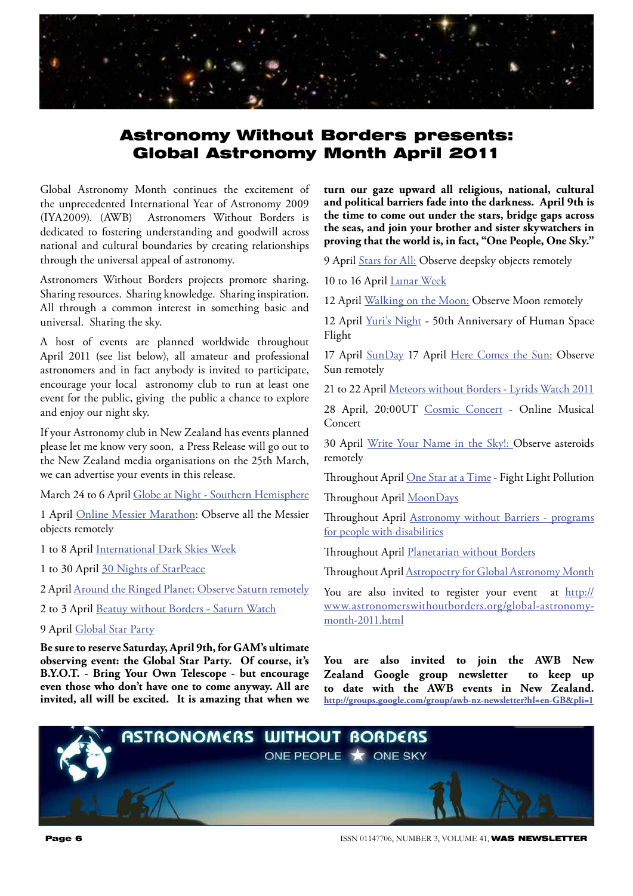

## Astronomy Without Borders presents: Global Astronomy Month April 2011

Global Astronomy Month continues the excitement of the unprecedented International Year of Astronomy 2009<br>(IYA2009). (AWB) Astronomers Without Borders is Astronomers Without Borders is dedicated to fostering understanding and goodwill across national and cultural boundaries by creating relationships through the universal appeal of astronomy.

Astronomers Without Borders projects promote sharing. Sharing resources. Sharing knowledge. Sharing inspiration. All through a common interest in something basic and universal. Sharing the sky.

A host of events are planned worldwide throughout April 2011 (see list below), all amateur and professional astronomers and in fact anybody is invited to participate, encourage your local astronomy club to run at least one event for the public, giving the public a chance to explore and enjoy our night sky.

If your Astronomy club in New Zealand has events planned please let me know very soon, a Press Release will go out to the New Zealand media organisations on the 25th March, we can advertise your events in this release.

March 24 to 6 April Globe at Night - Southern Hemisphere

1 April Online Messier Marathon: Observe all the Messier objects remotely

1 to 8 April International Dark Skies Week

1 to 30 April 30 Nights of StarPeace

2 April Around the Ringed Planet: Observe Saturn remotely

2 to 3 April Beatuy without Borders - Saturn Watch

#### 9 April Global Star Party

**Be sure to reserve Saturday, April 9th, for GAM's ultimate observing event: the Global Star Party. Of course, it's B.Y.O.T. - Bring Your Own Telescope - but encourage even those who don't have one to come anyway. All are invited, all will be excited. It is amazing that when we** 

**turn our gaze upward all religious, national, cultural and political barriers fade into the darkness. April 9th is the time to come out under the stars, bridge gaps across the seas, and join your brother and sister skywatchers in proving that the world is, in fact, "One People, One Sky."**

9 April Stars for All: Observe deepsky objects remotely

10 to 16 April Lunar Week

12 April Walking on the Moon: Observe Moon remotely

12 April Yuri's Night - 50th Anniversary of Human Space Flight

17 April SunDay 17 April Here Comes the Sun: Observe Sun remotely

21 to 22 April Meteors without Borders - Lyrids Watch 2011

28 April, 20:00UT Cosmic Concert - Online Musical Concert

30 April Write Your Name in the Sky!: Observe asteroids remotely

Throughout April One Star at a Time - Fight Light Pollution

Throughout April MoonDays

Throughout April Astronomy without Barriers - programs for people with disabilities

Throughout April Planetarian without Borders

Throughout April Astropoetry for Global Astronomy Month

You are also invited to register your event at http:// www.astronomerswithoutborders.org/global-astronomymonth-2011.html

**You are also invited to join the AWB New Zealand Google group newsletter to keep up to date with the AWB events in New Zealand. http://groups.google.com/group/awb-nz-newsletter?hl=en-GB&pli=1**

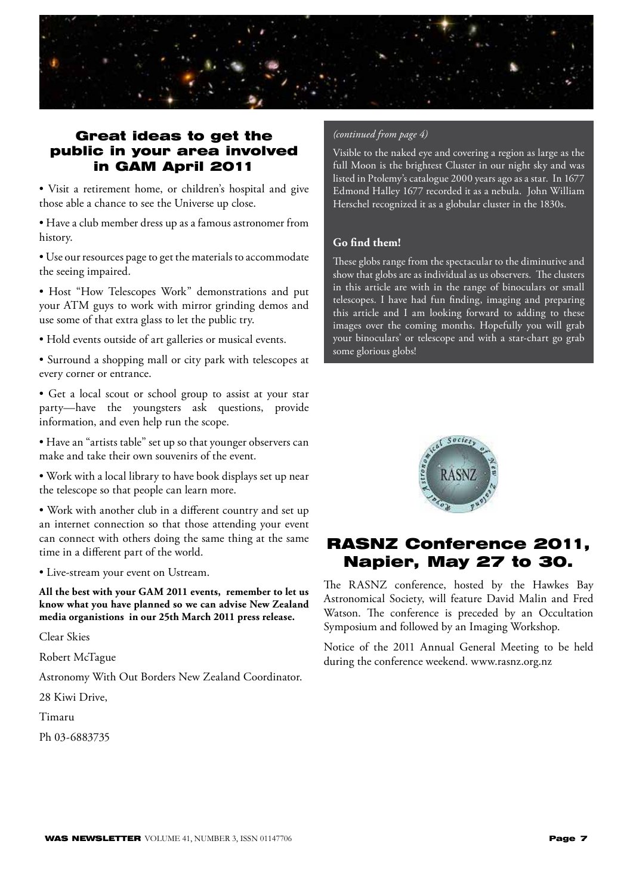

## Great ideas to get the public in your area involved in GAM April 2011

• Visit a retirement home, or children's hospital and give those able a chance to see the Universe up close.

• Have a club member dress up as a famous astronomer from history.

• Use our resources page to get the materials to accommodate the seeing impaired.

• Host "How Telescopes Work" demonstrations and put your ATM guys to work with mirror grinding demos and use some of that extra glass to let the public try.

• Hold events outside of art galleries or musical events.

• Surround a shopping mall or city park with telescopes at every corner or entrance.

• Get a local scout or school group to assist at your star party—have the youngsters ask questions, provide information, and even help run the scope.

• Have an "artists table" set up so that younger observers can make and take their own souvenirs of the event.

• Work with a local library to have book displays set up near the telescope so that people can learn more.

• Work with another club in a different country and set up an internet connection so that those attending your event can connect with others doing the same thing at the same time in a different part of the world.

• Live-stream your event on Ustream.

**All the best with your GAM 2011 events, remember to let us know what you have planned so we can advise New Zealand media organistions in our 25th March 2011 press release.**

Clear Skies

Robert McTague

Astronomy With Out Borders New Zealand Coordinator.

28 Kiwi Drive,

Timaru

Ph 03-6883735

#### *(continued from page 4)*

Visible to the naked eye and covering a region as large as the full Moon is the brightest Cluster in our night sky and was listed in Ptolemy's catalogue 2000 years ago as a star. In 1677 Edmond Halley 1677 recorded it as a nebula. John William Herschel recognized it as a globular cluster in the 1830s.

#### **Go find them!**

These globs range from the spectacular to the diminutive and show that globs are as individual as us observers. The clusters in this article are with in the range of binoculars or small telescopes. I have had fun finding, imaging and preparing this article and I am looking forward to adding to these images over the coming months. Hopefully you will grab your binoculars' or telescope and with a star-chart go grab some glorious globs!



## RASNZ Conference 2011, Napier, May 27 to 30.

The RASNZ conference, hosted by the Hawkes Bay Astronomical Society, will feature David Malin and Fred Watson. The conference is preceded by an Occultation Symposium and followed by an Imaging Workshop.

Notice of the 2011 Annual General Meeting to be held during the conference weekend. www.rasnz.org.nz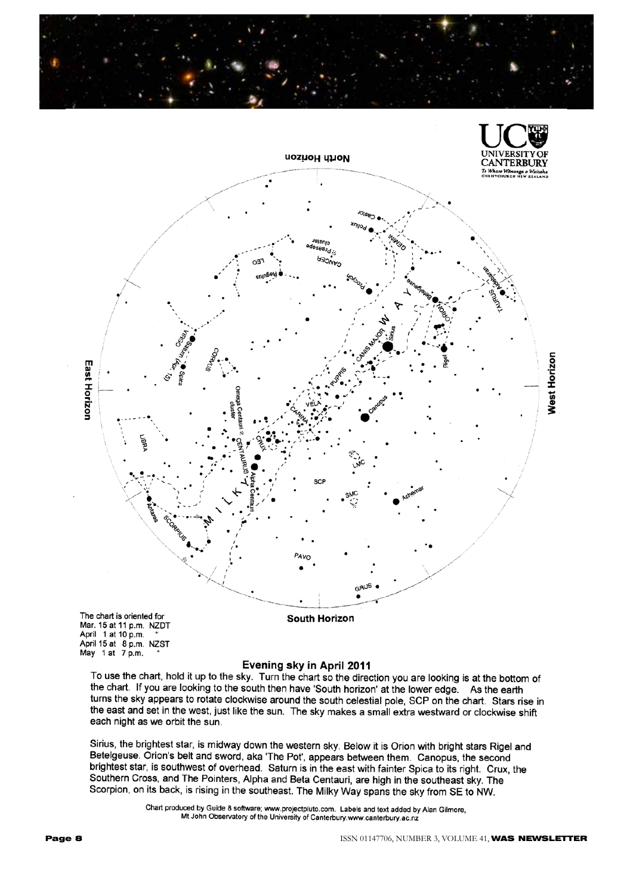



Mar. 15 at 11 p.m. NZDT Mar. 15 at 11 p.m. NZD1<br>April 1 at 10 p.m. "<br>April 15 at 8 p.m. NZST May 1 at 7 p.m.

#### Evening sky in April 2011

To use the chart, hold it up to the sky. Turn the chart so the direction you are looking is at the bottom of the chart. If you are looking to the south then have 'South horizon' at the lower edge. As the earth turns the sky appears to rotate clockwise around the south celestial pole, SCP on the chart. Stars rise in the east and set in the west, just like the sun. The sky makes a small extra westward or clockwise shift each night as we orbit the sun.

Sirius, the brightest star, is midway down the western sky. Below it is Orion with bright stars Rigel and Betelgeuse. Orion's belt and sword, aka 'The Pot', appears between them. Canopus, the second brightest star, is southwest of overhead. Saturn is in the east with fainter Spica to its right. Crux, the Southern Cross, and The Pointers, Alpha and Beta Centauri, are high in the southeast sky. The Scorpion, on its back, is rising in the southeast. The Milky Way spans the sky from SE to NW.

> Chart produced by Guide 8 software; www.projectpluto.com. Labels and text added by Alan Gilmore, Mt John Observatory of the University of Canterbury.www.canterbury.ac.nz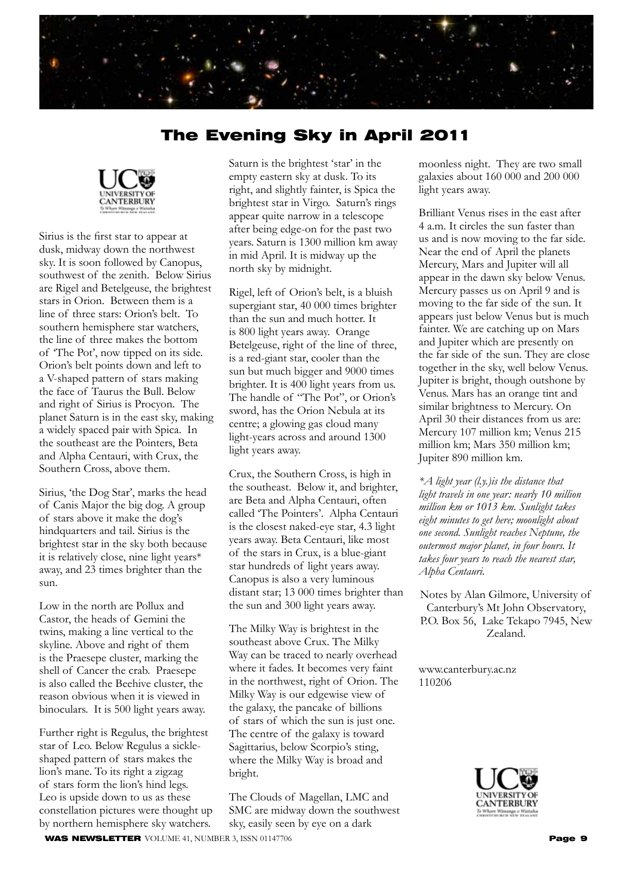

## The Evening Sky in April 2011



Sirius is the first star to appear at dusk, midway down the northwest sky. It is soon followed by Canopus, southwest of the zenith. Below Sirius are Rigel and Betelgeuse, the brightest stars in Orion. Between them is a line of three stars: Orion's belt. To southern hemisphere star watchers, the line of three makes the bottom of 'The Pot', now tipped on its side. Orion's belt points down and left to a V-shaped pattern of stars making the face of Taurus the Bull. Below and right of Sirius is Procyon. The planet Saturn is in the east sky, making a widely spaced pair with Spica. In the southeast are the Pointers, Beta and Alpha Centauri, with Crux, the Southern Cross, above them.

Sirius, 'the Dog Star', marks the head of Canis Major the big dog. A group of stars above it make the dog's hindquarters and tail. Sirius is the brightest star in the sky both because it is relatively close, nine light years\* away, and 23 times brighter than the sun.

Low in the north are Pollux and Castor, the heads of Gemini the twins, making a line vertical to the skyline. Above and right of them is the Praesepe cluster, marking the shell of Cancer the crab. Praesepe is also called the Beehive cluster, the reason obvious when it is viewed in binoculars. It is 500 light years away.

Further right is Regulus, the brightest star of Leo. Below Regulus a sickleshaped pattern of stars makes the lion's mane. To its right a zigzag of stars form the lion's hind legs. Leo is upside down to us as these constellation pictures were thought up by northern hemisphere sky watchers.

Saturn is the brightest 'star' in the empty eastern sky at dusk. To its right, and slightly fainter, is Spica the brightest star in Virgo. Saturn's rings appear quite narrow in a telescope after being edge-on for the past two years. Saturn is 1300 million km away in mid April. It is midway up the north sky by midnight.

Rigel, left of Orion's belt, is a bluish supergiant star, 40 000 times brighter than the sun and much hotter. It is 800 light years away. Orange Betelgeuse, right of the line of three, is a red-giant star, cooler than the sun but much bigger and 9000 times brighter. It is 400 light years from us. The handle of "The Pot", or Orion's sword, has the Orion Nebula at its centre; a glowing gas cloud many light-years across and around 1300 light years away.

Crux, the Southern Cross, is high in the southeast. Below it, and brighter, are Beta and Alpha Centauri, often called 'The Pointers'. Alpha Centauri is the closest naked-eye star, 4.3 light years away. Beta Centauri, like most of the stars in Crux, is a blue-giant star hundreds of light years away. Canopus is also a very luminous distant star; 13 000 times brighter than the sun and 300 light years away.

The Milky Way is brightest in the southeast above Crux. The Milky Way can be traced to nearly overhead where it fades. It becomes very faint in the northwest, right of Orion. The Milky Way is our edgewise view of the galaxy, the pancake of billions of stars of which the sun is just one. The centre of the galaxy is toward Sagittarius, below Scorpio's sting, where the Milky Way is broad and bright.

The Clouds of Magellan, LMC and SMC are midway down the southwest sky, easily seen by eye on a dark

moonless night. They are two small galaxies about 160 000 and 200 000 light years away.

Brilliant Venus rises in the east after 4 a.m. It circles the sun faster than us and is now moving to the far side. Near the end of April the planets Mercury, Mars and Jupiter will all appear in the dawn sky below Venus. Mercury passes us on April 9 and is moving to the far side of the sun. It appears just below Venus but is much fainter. We are catching up on Mars and Jupiter which are presently on the far side of the sun. They are close together in the sky, well below Venus. Jupiter is bright, though outshone by Venus. Mars has an orange tint and similar brightness to Mercury. On April 30 their distances from us are: Mercury 107 million km; Venus 215 million km; Mars 350 million km; Jupiter 890 million km.

*\*A light year (l.y.)is the distance that light travels in one year: nearly 10 million million km or 1013 km. Sunlight takes eight minutes to get here; moonlight about one second. Sunlight reaches Neptune, the outermost major planet, in four hours. It takes four years to reach the nearest star, Alpha Centauri.*

Notes by Alan Gilmore, University of Canterbury's Mt John Observatory, P.O. Box 56, Lake Tekapo 7945, New Zealand.

www.canterbury.ac.nz 110206